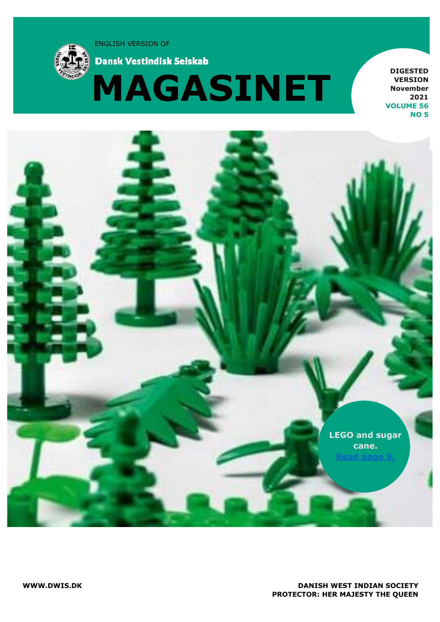ENGLISH VERSION OF



**Dansk Vestindisk Selskab** 



**DIGESTED VERSION November 2021 VOLUME 56 NO 5**

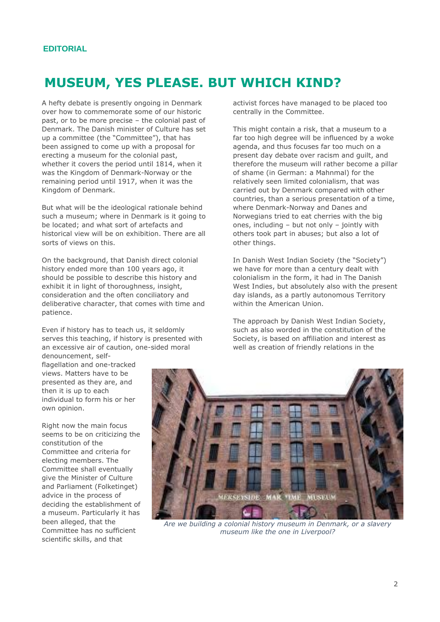## **MUSEUM, YES PLEASE. BUT WHICH KIND?**

A hefty debate is presently ongoing in Denmark over how to commemorate some of our historic past, or to be more precise – the colonial past of Denmark. The Danish minister of Culture has set up a committee (the "Committee"), that has been assigned to come up with a proposal for erecting a museum for the colonial past, whether it covers the period until 1814, when it was the Kingdom of Denmark-Norway or the remaining period until 1917, when it was the Kingdom of Denmark.

But what will be the ideological rationale behind such a museum; where in Denmark is it going to be located; and what sort of artefacts and historical view will be on exhibition. There are all sorts of views on this.

On the background, that Danish direct colonial history ended more than 100 years ago, it should be possible to describe this history and exhibit it in light of thoroughness, insight, consideration and the often conciliatory and deliberative character, that comes with time and patience.

Even if history has to teach us, it seldomly serves this teaching, if history is presented with an excessive air of caution, one-sided moral denouncement, self-

flagellation and one-tracked views. Matters have to be presented as they are, and then it is up to each individual to form his or her own opinion.

Right now the main focus seems to be on criticizing the constitution of the Committee and criteria for electing members. The Committee shall eventually give the Minister of Culture and Parliament (Folketinget) advice in the process of deciding the establishment of a museum. Particularly it has been alleged, that the Committee has no sufficient scientific skills, and that

activist forces have managed to be placed too centrally in the Committee.

This might contain a risk, that a museum to a far too high degree will be influenced by a woke agenda, and thus focuses far too much on a present day debate over racism and guilt, and therefore the museum will rather become a pillar of shame (in German: a Mahnmal) for the relatively seen limited colonialism, that was carried out by Denmark compared with other countries, than a serious presentation of a time, where Denmark-Norway and Danes and Norwegians tried to eat cherries with the big ones, including – but not only – jointly with others took part in abuses; but also a lot of other things.

In Danish West Indian Society (the "Society") we have for more than a century dealt with colonialism in the form, it had in The Danish West Indies, but absolutely also with the present day islands, as a partly autonomous Territory within the American Union.

The approach by Danish West Indian Society, such as also worded in the constitution of the Society, is based on affiliation and interest as well as creation of friendly relations in the



*Are we building a colonial history museum in Denmark, or a slavery museum like the one in Liverpool?*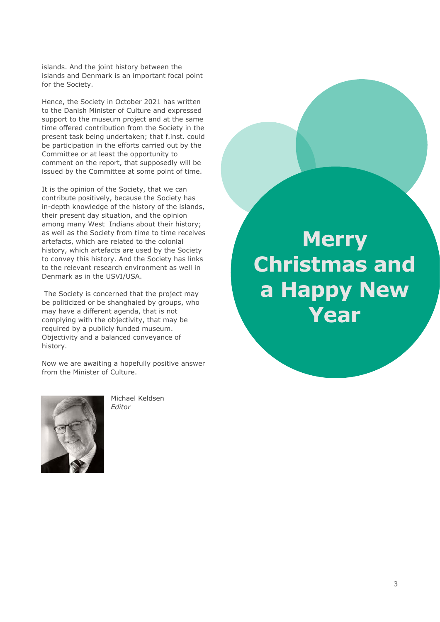islands. And the joint history between the islands and Denmark is an important focal point for the Society.

Hence, the Society in October 2021 has written to the Danish Minister of Culture and expressed support to the museum project and at the same time offered contribution from the Society in the present task being undertaken; that f.inst. could be participation in the efforts carried out by the Committee or at least the opportunity to comment on the report, that supposedly will be issued by the Committee at some point of time.

It is the opinion of the Society, that we can contribute positively, because the Society has in-depth knowledge of the history of the islands, their present day situation, and the opinion among many West Indians about their history; as well as the Society from time to time receives artefacts, which are related to the colonial history, which artefacts are used by the Society to convey this history. And the Society has links to the relevant research environment as well in Denmark as in the USVI/USA.

The Society is concerned that the project may be politicized or be shanghaied by groups, who may have a different agenda, that is not complying with the objectivity, that may be required by a publicly funded museum. Objectivity and a balanced conveyance of history.

Now we are awaiting a hopefully positive answer from the Minister of Culture.



Michael Keldsen *Editor*

**Merry Christmas and a Happy New Year**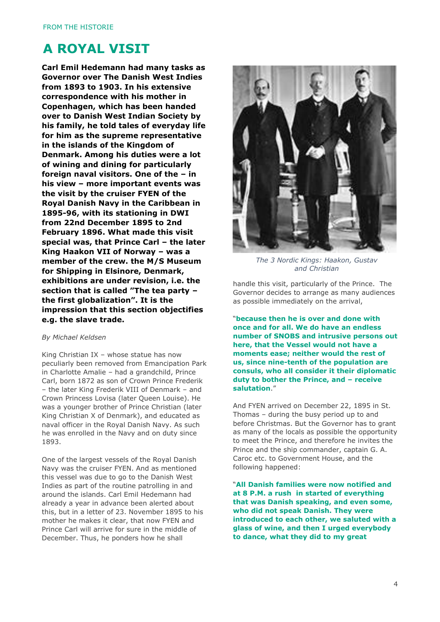## **A ROYAL VISIT**

**Carl Emil Hedemann had many tasks as Governor over The Danish West Indies from 1893 to 1903. In his extensive correspondence with his mother in Copenhagen, which has been handed over to Danish West Indian Society by his family, he told tales of everyday life for him as the supreme representative in the islands of the Kingdom of Denmark. Among his duties were a lot of wining and dining for particularly foreign naval visitors. One of the – in his view – more important events was the visit by the cruiser FYEN of the Royal Danish Navy in the Caribbean in 1895-96, with its stationing in DWI from 22nd December 1895 to 2nd February 1896. What made this visit special was, that Prince Carl – the later King Haakon VII of Norway – was a member of the crew. the M/S Museum for Shipping in Elsinore, Denmark, exhibitions are under revision, i.e. the section that is called "The tea party – the first globalization". It is the impression that this section objectifies e.g. the slave trade.**

#### *By Michael Keldsen*

King Christian IX – whose statue has now peculiarly been removed from Emancipation Park in Charlotte Amalie – had a grandchild, Prince Carl, born 1872 as son of Crown Prince Frederik – the later King Frederik VIII of Denmark – and Crown Princess Lovisa (later Queen Louise). He was a younger brother of Prince Christian (later King Christian X of Denmark), and educated as naval officer in the Royal Danish Navy. As such he was enrolled in the Navy and on duty since 1893.

One of the largest vessels of the Royal Danish Navy was the cruiser FYEN. And as mentioned this vessel was due to go to the Danish West Indies as part of the routine patrolling in and around the islands. Carl Emil Hedemann had already a year in advance been alerted about this, but in a letter of 23. November 1895 to his mother he makes it clear, that now FYEN and Prince Carl will arrive for sure in the middle of December. Thus, he ponders how he shall



*The 3 Nordic Kings: Haakon, Gustav and Christian*

handle this visit, particularly of the Prince. The Governor decides to arrange as many audiences as possible immediately on the arrival,

"**because then he is over and done with once and for all. We do have an endless number of SNOBS and intrusive persons out here, that the Vessel would not have a moments ease; neither would the rest of us, since nine-tenth of the population are consuls, who all consider it their diplomatic duty to bother the Prince, and – receive salutation**."

And FYEN arrived on December 22, 1895 in St. Thomas – during the busy period up to and before Christmas. But the Governor has to grant as many of the locals as possible the opportunity to meet the Prince, and therefore he invites the Prince and the ship commander, captain G. A. Caroc etc. to Government House, and the following happened:

"**All Danish families were now notified and at 8 P.M. a rush in started of everything that was Danish speaking, and even some, who did not speak Danish. They were introduced to each other, we saluted with a glass of wine, and then I urged everybody to dance, what they did to my great**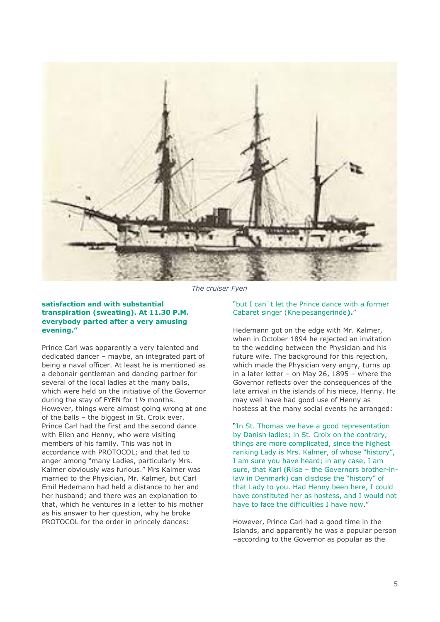

*The cruiser Fyen*

### **satisfaction and with substantial transpiration (sweating). At 11.30 P.M. everybody parted after a very amusing evening."**

Prince Carl was apparently a very talented and dedicated dancer – maybe, an integrated part of being a naval officer. At least he is mentioned as a debonair gentleman and dancing partner for several of the local ladies at the many balls, which were held on the initiative of the Governor during the stay of FYEN for 1½ months. However, things were almost going wrong at one of the balls – the biggest in St. Croix ever. Prince Carl had the first and the second dance with Ellen and Henny, who were visiting members of his family. This was not in accordance with PROTOCOL; and that led to anger among "many Ladies, particularly Mrs. Kalmer obviously was furious." Mrs Kalmer was married to the Physician, Mr. Kalmer, but Carl Emil Hedemann had held a distance to her and her husband; and there was an explanation to that, which he ventures in a letter to his mother as his answer to her question, why he broke PROTOCOL for the order in princely dances:

#### "but I can`t let the Prince dance with a former Cabaret singer (Kneipesangerinde**).**"

Hedemann got on the edge with Mr. Kalmer, when in October 1894 he rejected an invitation to the wedding between the Physician and his future wife. The background for this rejection, which made the Physician very angry, turns up in a later letter – on May 26, 1895 – where the Governor reflects over the consequences of the late arrival in the islands of his niece, Henny. He may well have had good use of Henny as hostess at the many social events he arranged:

"In St. Thomas we have a good representation by Danish ladies; in St. Croix on the contrary, things are more complicated, since the highest ranking Lady is Mrs. Kalmer, of whose "history", I am sure you have heard; in any case, I am sure, that Karl (Riise – the Governors brother-inlaw in Denmark) can disclose the "history" of that Lady to you. Had Henny been here, I could have constituted her as hostess, and I would not have to face the difficulties I have now."

However, Prince Carl had a good time in the Islands, and apparently he was a popular person –according to the Governor as popular as the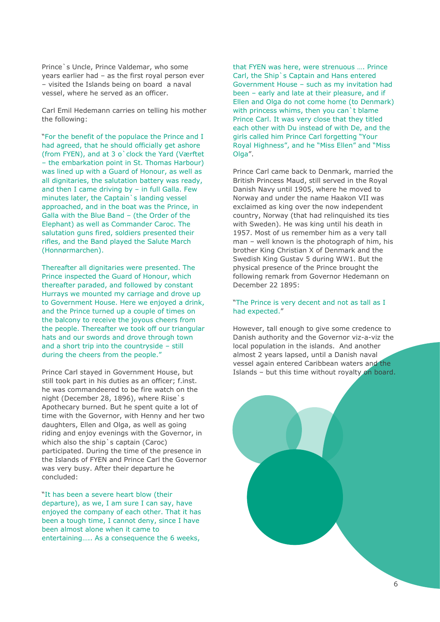Prince`s Uncle, Prince Valdemar, who some years earlier had – as the first royal person ever – visited the Islands being on board a naval vessel, where he served as an officer.

Carl Emil Hedemann carries on telling his mother the following:

"For the benefit of the populace the Prince and I had agreed, that he should officially get ashore (from FYEN), and at 3 o`clock the Yard (Værftet – the embarkation point in St. Thomas Harbour) was lined up with a Guard of Honour, as well as all dignitaries, the salutation battery was ready, and then I came driving by – in full Galla. Few minutes later, the Captain`s landing vessel approached, and in the boat was the Prince, in Galla with the Blue Band – (the Order of the Elephant) as well as Commander Caroc. The salutation guns fired, soldiers presented their rifles, and the Band played the Salute March (Honnørmarchen).

Thereafter all dignitaries were presented. The Prince inspected the Guard of Honour, which thereafter paraded, and followed by constant Hurrays we mounted my carriage and drove up to Government House. Here we enjoyed a drink, and the Prince turned up a couple of times on the balcony to receive the joyous cheers from the people. Thereafter we took off our triangular hats and our swords and drove through town and a short trip into the countryside – still during the cheers from the people."

Prince Carl stayed in Government House, but still took part in his duties as an officer; f.inst. he was commandeered to be fire watch on the night (December 28, 1896), where Riise`s Apothecary burned. But he spent quite a lot of time with the Governor, with Henny and her two daughters, Ellen and Olga, as well as going riding and enjoy evenings with the Governor, in which also the ship's captain (Caroc) participated. During the time of the presence in the Islands of FYEN and Prince Carl the Governor was very busy. After their departure he concluded:

"It has been a severe heart blow (their departure), as we, I am sure I can say, have enjoyed the company of each other. That it has been a tough time, I cannot deny, since I have been almost alone when it came to entertaining….. As a consequence the 6 weeks,

that FYEN was here, were strenuous …. Prince Carl, the Ship`s Captain and Hans entered Government House – such as my invitation had been – early and late at their pleasure, and if Ellen and Olga do not come home (to Denmark) with princess whims, then you can't blame Prince Carl. It was very close that they titled each other with Du instead of with De, and the girls called him Prince Carl forgetting "Your Royal Highness", and he "Miss Ellen" and "Miss Olga".

Prince Carl came back to Denmark, married the British Princess Maud, still served in the Royal Danish Navy until 1905, where he moved to Norway and under the name Haakon VII was exclaimed as king over the now independent country, Norway (that had relinquished its ties with Sweden). He was king until his death in 1957. Most of us remember him as a very tall man – well known is the photograph of him, his brother King Christian X of Denmark and the Swedish King Gustav 5 during WW1. But the physical presence of the Prince brought the following remark from Governor Hedemann on December 22 1895:

#### "The Prince is very decent and not as tall as I had expected."

However, tall enough to give some credence to Danish authority and the Governor viz-a-viz the local population in the islands. And another almost 2 years lapsed, until a Danish naval vessel again entered Caribbean waters and the Islands – but this time without royalty on board.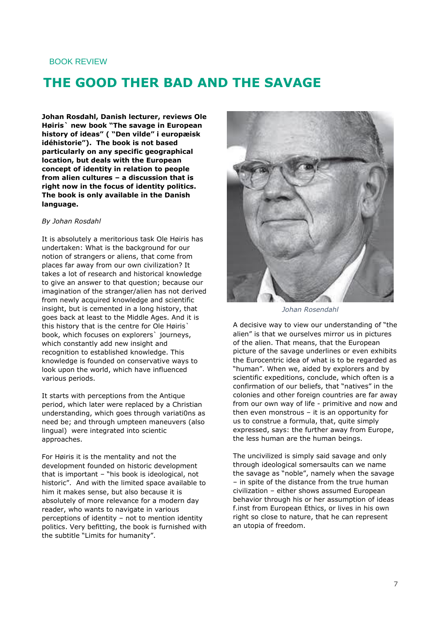### BOOK REVIEW

## **THE GOOD THER BAD AND THE SAVAGE**

**Johan Rosdahl, Danish lecturer, reviews Ole Høiris` new book "The savage in European history of ideas" ( "Den vilde" i europæisk idéhistorie"). The book is not based particularly on any specific geographical location, but deals with the European concept of identity in relation to people from alien cultures – a discussion that is right now in the focus of identity politics. The book is only available in the Danish language.**

#### *By Johan Rosdahl*

It is absolutely a meritorious task Ole Høiris has undertaken: What is the background for our notion of strangers or aliens, that come from places far away from our own civilization? It takes a lot of research and historical knowledge to give an answer to that question; because our imagination of the stranger/alien has not derived from newly acquired knowledge and scientific insight, but is cemented in a long history, that goes back at least to the Middle Ages. And it is this history that is the centre for Ole Høiris` book, which focuses on explorers` journeys, which constantly add new insight and recognition to established knowledge. This knowledge is founded on conservative ways to look upon the world, which have influenced various periods.

It starts with perceptions from the Antique period, which later were replaced by a Christian understanding, which goes through variati0ns as need be; and through umpteen maneuvers (also lingual) were integrated into scientic approaches.

For Høiris it is the mentality and not the development founded on historic development that is important – "his book is ideological, not historic". And with the limited space available to him it makes sense, but also because it is absolutely of more relevance for a modern day reader, who wants to navigate in various perceptions of identity – not to mention identity politics. Very befitting, the book is furnished with the subtitle "Limits for humanity".



*Johan Rosendahl*

A decisive way to view our understanding of "the alien" is that we ourselves mirror us in pictures of the alien. That means, that the European picture of the savage underlines or even exhibits the Eurocentric idea of what is to be regarded as "human". When we, aided by explorers and by scientific expeditions, conclude, which often is a confirmation of our beliefs, that "natives" in the colonies and other foreign countries are far away from our own way of life - primitive and now and then even monstrous – it is an opportunity for us to construe a formula, that, quite simply expressed, says: the further away from Europe, the less human are the human beings.

The uncivilized is simply said savage and only through ideological somersaults can we name the savage as "noble", namely when the savage – in spite of the distance from the true human civilization – either shows assumed European behavior through his or her assumption of ideas f.inst from European Ethics, or lives in his own right so close to nature, that he can represent an utopia of freedom.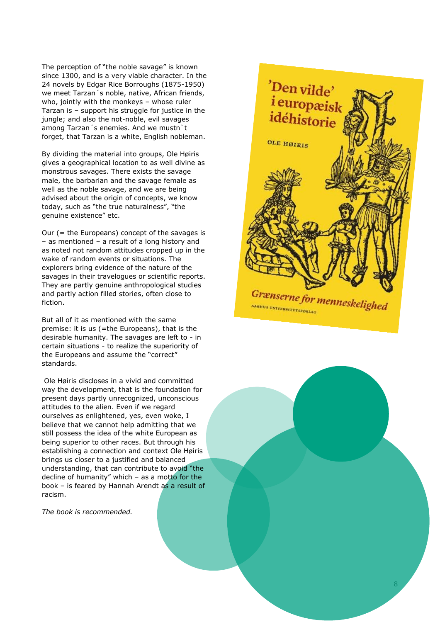The perception of "the noble savage" is known since 1300, and is a very viable character. In the 24 novels by Edgar Rice Borroughs (1875 -1950) we meet Tarzan´s noble, native, African friends, who, jointly with the monkeys – whose ruler Tarzan is – support his struggle for justice in the jungle; and also the not -noble, evil savages among Tarzan´s enemies. And we mustn`t forget, that Tarzan is a white, English nobleman.

By dividing the material into groups, Ole Høiris gives a geographical location to as well divine as monstrous savages. There exists the savage male, the barbarian and the savage female as well as the noble savage, and we are being advised about the origin of concepts, we know today, such as "the true naturalness", "the genuine existence" etc.

Our (= the Europeans) concept of the savages is – as mentioned – a result of a long history and as noted not random attitudes cropped up in the wake of random events or situations. The explorers bring evidence of the nature of the savages in their travelogues or scientific reports. They are partly genuine anthropological studies and partly action filled stories, often close to fiction.

But all of it as mentioned with the same premise: it is us (=the Europeans), that is the desirable humanity. The savages are left to - in certain situations - to realize the superiority of the Europeans and assume the "correct" standards.

Ole Høiris discloses in a vivid and committed way the development, that is the foundation for present days partly unrecognized, unconscious attitudes to the alien. Even if we regard ourselves as enlightened, yes, even woke, I believe that we cannot help admitting that we still possess the idea of the white European as being superior to other races. But through his establishing a connection and context Ole Høiris brings us closer to a justified and balanced understanding, that can contribute to avoid "the decline of humanity" which – as a motto for the book – is feared by Hannah Arendt as a result of racism.

*The book is recommended.*



8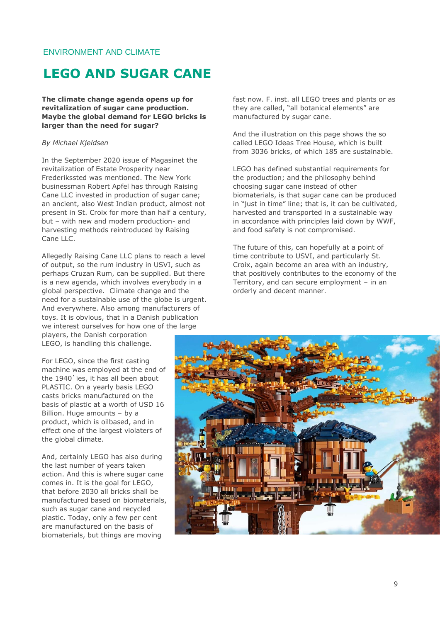### <span id="page-8-0"></span>ENVIRONMENT AND CLIMATE

## **LEGO AND SUGAR CANE**

**The climate change agenda opens up for revitalization of sugar cane production. Maybe the global demand for LEGO bricks is larger than the need for sugar?**

#### *By Michael Kjeldsen*

In the September 2020 issue of Magasinet the revitalization of Estate Prosperity near Frederikssted was mentioned. The New York businessman Robert Apfel has through Raising Cane LLC invested in production of sugar cane; an ancient, also West Indian product, almost not present in St. Croix for more than half a century, but – with new and modern production- and harvesting methods reintroduced by Raising Cane LLC.

Allegedly Raising Cane LLC plans to reach a level of output, so the rum industry in USVI, such as perhaps Cruzan Rum, can be supplied. But there is a new agenda, which involves everybody in a global perspective. Climate change and the need for a sustainable use of the globe is urgent. And everywhere. Also among manufacturers of toys. It is obvious, that in a Danish publication we interest ourselves for how one of the large players, the Danish corporation

LEGO, is handling this challenge.

For LEGO, since the first casting machine was employed at the end of the 1940'ies, it has all been about PLASTIC. On a yearly basis LEGO casts bricks manufactured on the basis of plastic at a worth of USD 16 Billion. Huge amounts – by a product, which is oilbased, and in effect one of the largest violaters of the global climate.

And, certainly LEGO has also during the last number of years taken action. And this is where sugar cane comes in. It is the goal for LEGO, that before 2030 all bricks shall be manufactured based on biomaterials, such as sugar cane and recycled plastic. Today, only a few per cent are manufactured on the basis of biomaterials, but things are moving

fast now. F. inst. all LEGO trees and plants or as they are called, "all botanical elements" are manufactured by sugar cane.

And the illustration on this page shows the so called LEGO Ideas Tree House, which is built from 3036 bricks, of which 185 are sustainable.

LEGO has defined substantial requirements for the production; and the philosophy behind choosing sugar cane instead of other biomaterials, is that sugar cane can be produced in "just in time" line; that is, it can be cultivated, harvested and transported in a sustainable way in accordance with principles laid down by WWF, and food safety is not compromised.

The future of this, can hopefully at a point of time contribute to USVI, and particularly St. Croix, again become an area with an industry, that positively contributes to the economy of the Territory, and can secure employment – in an orderly and decent manner.

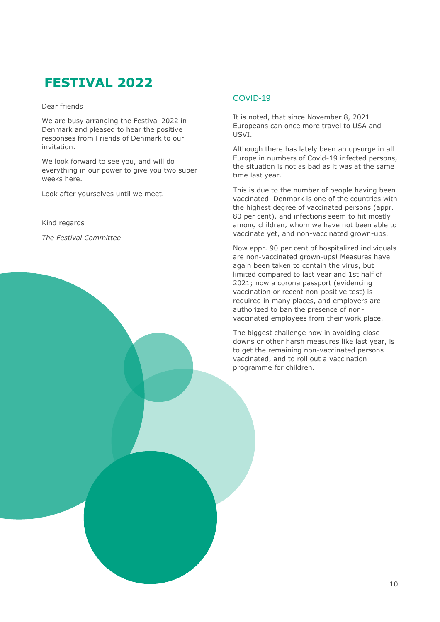# **FESTIVAL 2022**

Dear friends

We are busy arranging the Festival 2022 in Denmark and pleased to hear the positive responses from Friends of Denmark to our invitation.

We look forward to see you, and will do everything in our power to give you two super weeks here.

Look after yourselves until we meet.

Kind regards

*The Festival Committee*

### COVID-19

It is noted, that since November 8, 2021 Europeans can once more travel to USA and USVI.

Although there has lately been an upsurge in all Europe in numbers of Covid-19 infected persons, the situation is not as bad as it was at the same time last year.

This is due to the number of people having been vaccinated. Denmark is one of the countries with the highest degree of vaccinated persons (appr. 80 per cent), and infections seem to hit mostly among children, whom we have not been able to vaccinate yet, and non-vaccinated grown-ups.

Now appr. 90 per cent of hospitalized individuals are non-vaccinated grown-ups! Measures have again been taken to contain the virus, but limited compared to last year and 1st half of 2021; now a corona passport (evidencing vaccination or recent non-positive test) is required in many places, and employers are authorized to ban the presence of nonvaccinated employees from their work place.

The biggest challenge now in avoiding closedowns or other harsh measures like last year, is to get the remaining non-vaccinated persons vaccinated, and to roll out a vaccination programme for children.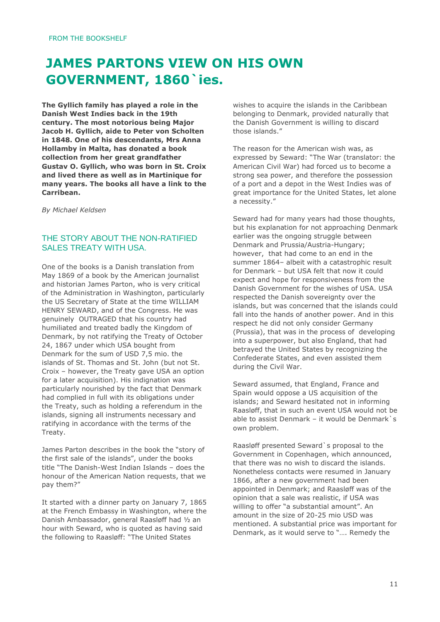# **JAMES PARTONS VIEW ON HIS OWN GOVERNMENT, 1860`ies.**

**The Gyllich family has played a role in the Danish West Indies back in the 19th century. The most notorious being Major Jacob H. Gyllich, aide to Peter von Scholten in 1848. One of his descendants, Mrs Anna Hollamby in Malta, has donated a book collection from her great grandfather Gustav O. Gyllich, who was born in St. Croix and lived there as well as in Martinique for many years. The books all have a link to the Carribean.**

*By Michael Keldsen*

### THE STORY ABOUT THE NON-RATIFIED SALES TREATY WITH USA.

One of the books is a Danish translation from May 1869 of a book by the American journalist and historian James Parton, who is very critical of the Administration in Washington, particularly the US Secretary of State at the time WILLIAM HENRY SEWARD, and of the Congress. He was genuinely OUTRAGED that his country had humiliated and treated badly the Kingdom of Denmark, by not ratifying the Treaty of October 24, 1867 under which USA bought from Denmark for the sum of USD 7,5 mio. the islands of St. Thomas and St. John (but not St. Croix – however, the Treaty gave USA an option for a later acquisition). His indignation was particularly nourished by the fact that Denmark had complied in full with its obligations under the Treaty, such as holding a referendum in the islands, signing all instruments necessary and ratifying in accordance with the terms of the Treaty.

James Parton describes in the book the "story of the first sale of the islands", under the books title "The Danish-West Indian Islands – does the honour of the American Nation requests, that we pay them?"

It started with a dinner party on January 7, 1865 at the French Embassy in Washington, where the Danish Ambassador, general Raasløff had ½ an hour with Seward, who is quoted as having said the following to Raasløff: "The United States

wishes to acquire the islands in the Caribbean belonging to Denmark, provided naturally that the Danish Government is willing to discard those islands."

The reason for the American wish was, as expressed by Seward: "The War (translator: the American Civil War) had forced us to become a strong sea power, and therefore the possession of a port and a depot in the West Indies was of great importance for the United States, let alone a necessity."

Seward had for many years had those thoughts, but his explanation for not approaching Denmark earlier was the ongoing struggle between Denmark and Prussia/Austria-Hungary; however, that had come to an end in the summer 1864– albeit with a catastrophic result for Denmark – but USA felt that now it could expect and hope for responsiveness from the Danish Government for the wishes of USA. USA respected the Danish sovereignty over the islands, but was concerned that the islands could fall into the hands of another power. And in this respect he did not only consider Germany (Prussia), that was in the process of developing into a superpower, but also England, that had betrayed the United States by recognizing the Confederate States, and even assisted them during the Civil War.

Seward assumed, that England, France and Spain would oppose a US acquisition of the islands; and Seward hesitated not in informing Raasløff, that in such an event USA would not be able to assist Denmark – it would be Denmark`s own problem.

Raasløff presented Seward`s proposal to the Government in Copenhagen, which announced, that there was no wish to discard the islands. Nonetheless contacts were resumed in January 1866, after a new government had been appointed in Denmark; and Raasløff was of the opinion that a sale was realistic, if USA was willing to offer "a substantial amount". An amount in the size of 20-25 mio USD was mentioned. A substantial price was important for Denmark, as it would serve to "…. Remedy the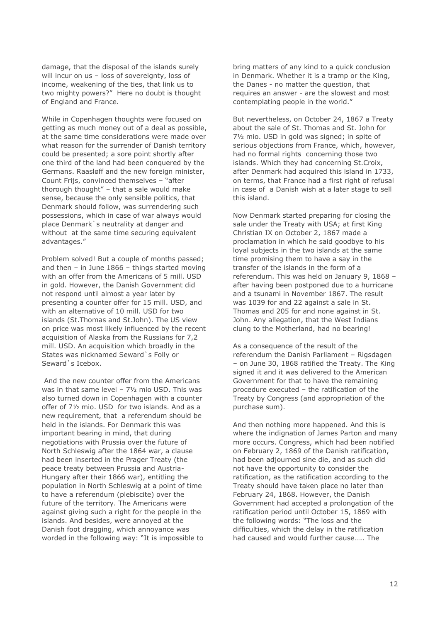damage, that the disposal of the islands surely will incur on us – loss of sovereignty, loss of income, weakening of the ties, that link us to two mighty powers?" Here no doubt is thought of England and France.

While in Copenhagen thoughts were focused on getting as much money out of a deal as possible, at the same time considerations were made over what reason for the surrender of Danish territory could be presented; a sore point shortly after one third of the land had been conquered by the Germans. Raasløff and the new foreign minister, Count Frijs, convinced themselves – "after thorough thought" – that a sale would make sense, because the only sensible politics, that Denmark should follow, was surrendering such possessions, which in case of war always would place Denmark`s neutrality at danger and without at the same time securing equivalent advantages."

Problem solved! But a couple of months passed; and then – in June 1866 – things started moving with an offer from the Americans of 5 mill. USD in gold. However, the Danish Government did not respond until almost a year later by presenting a counter offer for 15 mill. USD, and with an alternative of 10 mill. USD for two islands (St.Thomas and St.John). The US view on price was most likely influenced by the recent acquisition of Alaska from the Russians for 7,2 mill. USD. An acquisition which broadly in the States was nicknamed Seward`s Folly or Seward`s Icebox.

And the new counter offer from the Americans was in that same level – 7½ mio USD. This was also turned down in Copenhagen with a counter offer of 7½ mio. USD for two islands. And as a new requirement, that a referendum should be held in the islands. For Denmark this was important bearing in mind, that during negotiations with Prussia over the future of North Schleswig after the 1864 war, a clause had been inserted in the Prager Treaty (the peace treaty between Prussia and Austria-Hungary after their 1866 war), entitling the population in North Schleswig at a point of time to have a referendum (plebiscite) over the future of the territory. The Americans were against giving such a right for the people in the islands. And besides, were annoyed at the Danish foot dragging, which annoyance was worded in the following way: "It is impossible to bring matters of any kind to a quick conclusion in Denmark. Whether it is a tramp or the King, the Danes - no matter the question, that requires an answer - are the slowest and most contemplating people in the world."

But nevertheless, on October 24, 1867 a Treaty about the sale of St. Thomas and St. John for 7½ mio. USD in gold was signed; in spite of serious objections from France, which, however, had no formal rights concerning those two islands. Which they had concerning St.Croix, after Denmark had acquired this island in 1733, on terms, that France had a first right of refusal in case of a Danish wish at a later stage to sell this island.

Now Denmark started preparing for closing the sale under the Treaty with USA; at first King Christian IX on October 2, 1867 made a proclamation in which he said goodbye to his loyal subjects in the two islands at the same time promising them to have a say in the transfer of the islands in the form of a referendum. This was held on January 9, 1868 – after having been postponed due to a hurricane and a tsunami in November 1867. The result was 1039 for and 22 against a sale in St. Thomas and 205 for and none against in St. John. Any allegation, that the West Indians clung to the Motherland, had no bearing!

As a consequence of the result of the referendum the Danish Parliament – Rigsdagen – on June 30, 1868 ratified the Treaty. The King signed it and it was delivered to the American Government for that to have the remaining procedure executed – the ratification of the Treaty by Congress (and appropriation of the purchase sum).

And then nothing more happened. And this is where the indignation of James Parton and many more occurs. Congress, which had been notified on February 2, 1869 of the Danish ratification, had been adjourned sine die, and as such did not have the opportunity to consider the ratification, as the ratification according to the Treaty should have taken place no later than February 24, 1868. However, the Danish Government had accepted a prolongation of the ratification period until October 15, 1869 with the following words: "The loss and the difficulties, which the delay in the ratification had caused and would further cause….. The